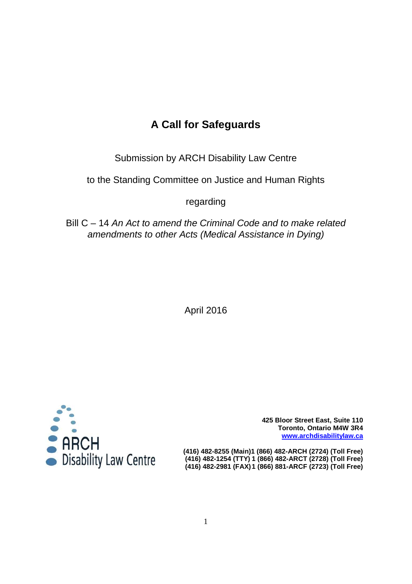# **A Call for Safeguards**

Submission by ARCH Disability Law Centre

to the Standing Committee on Justice and Human Rights

regarding

Bill C – 14 An Act to amend the Criminal Code and to make related amendments to other Acts (Medical Assistance in Dying)

April 2016



**425 Bloor Street East, Suite 110 Toronto, Ontario M4W 3R4 www.archdisabilitylaw.ca**

 **(416) 482-1254 (TTY) 1 (866) 482-ARCT (2728) (Toll Free) (416) 482-2981 (FAX) 1 (866) 881-ARCF (2723) (Toll Free)**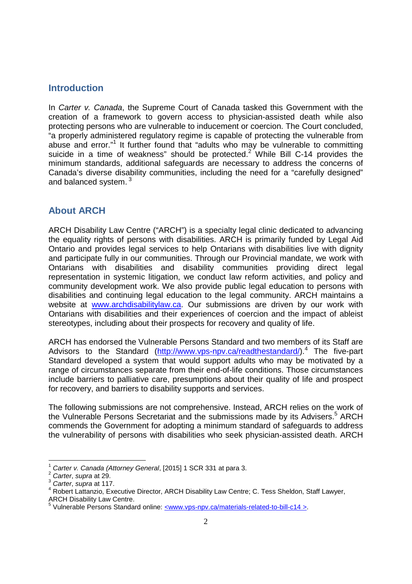#### **Introduction**

In Carter v. Canada, the Supreme Court of Canada tasked this Government with the creation of a framework to govern access to physician-assisted death while also protecting persons who are vulnerable to inducement or coercion. The Court concluded, "a properly administered regulatory regime is capable of protecting the vulnerable from abuse and error."<sup>1</sup> It further found that "adults who may be vulnerable to committing suicide in a time of weakness" should be protected. $2^{2}$  While Bill C-14 provides the minimum standards, additional safeguards are necessary to address the concerns of Canada's diverse disability communities, including the need for a "carefully designed" and balanced system.<sup>3</sup>

### **About ARCH**

ARCH Disability Law Centre ("ARCH") is a specialty legal clinic dedicated to advancing the equality rights of persons with disabilities. ARCH is primarily funded by Legal Aid Ontario and provides legal services to help Ontarians with disabilities live with dignity and participate fully in our communities. Through our Provincial mandate, we work with Ontarians with disabilities and disability communities providing direct legal representation in systemic litigation, we conduct law reform activities, and policy and community development work. We also provide public legal education to persons with disabilities and continuing legal education to the legal community. ARCH maintains a website at www.archdisabilitylaw.ca. Our submissions are driven by our work with Ontarians with disabilities and their experiences of coercion and the impact of ableist stereotypes, including about their prospects for recovery and quality of life.

ARCH has endorsed the Vulnerable Persons Standard and two members of its Staff are Advisors to the Standard (http://www.vps-npv.ca/readthestandard/).<sup>4</sup> The five-part Standard developed a system that would support adults who may be motivated by a range of circumstances separate from their end-of-life conditions. Those circumstances include barriers to palliative care, presumptions about their quality of life and prospect for recovery, and barriers to disability supports and services.

The following submissions are not comprehensive. Instead, ARCH relies on the work of the Vulnerable Persons Secretariat and the submissions made by its Advisers.<sup>5</sup> ARCH commends the Government for adopting a minimum standard of safeguards to address the vulnerability of persons with disabilities who seek physician-assisted death. ARCH

-

 $1$  Carter v. Canada (Attorney General, [2015] 1 SCR 331 at para 3.

<sup>&</sup>lt;sup>2</sup> Carter, supra at 29.

 $3$  Carter, supra at 117.

<sup>&</sup>lt;sup>4</sup> Robert Lattanzio, Executive Director, ARCH Disability Law Centre; C. Tess Sheldon, Staff Lawyer, ARCH Disability Law Centre.

<sup>&</sup>lt;sup>5</sup> Vulnerable Persons Standard online: <www.vps-npv.ca/materials-related-to-bill-c14 >.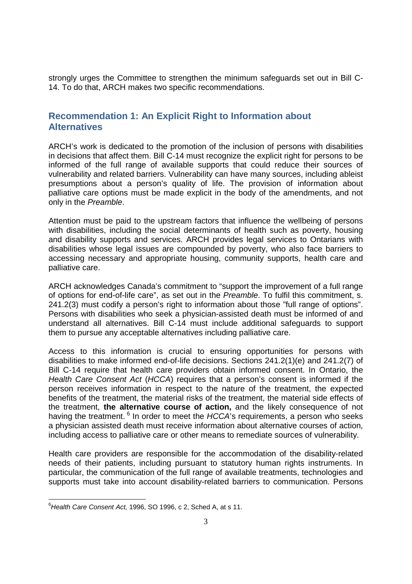strongly urges the Committee to strengthen the minimum safeguards set out in Bill C-14. To do that, ARCH makes two specific recommendations.

### **Recommendation 1: An Explicit Right to Information about Alternatives**

ARCH's work is dedicated to the promotion of the inclusion of persons with disabilities in decisions that affect them. Bill C-14 must recognize the explicit right for persons to be informed of the full range of available supports that could reduce their sources of vulnerability and related barriers. Vulnerability can have many sources, including ableist presumptions about a person's quality of life. The provision of information about palliative care options must be made explicit in the body of the amendments, and not only in the Preamble.

Attention must be paid to the upstream factors that influence the wellbeing of persons with disabilities, including the social determinants of health such as poverty, housing and disability supports and services. ARCH provides legal services to Ontarians with disabilities whose legal issues are compounded by poverty, who also face barriers to accessing necessary and appropriate housing, community supports, health care and palliative care.

ARCH acknowledges Canada's commitment to "support the improvement of a full range of options for end-of-life care", as set out in the Preamble. To fulfil this commitment, s. 241.2(3) must codify a person's right to information about those "full range of options". Persons with disabilities who seek a physician-assisted death must be informed of and understand all alternatives. Bill C-14 must include additional safeguards to support them to pursue any acceptable alternatives including palliative care.

Access to this information is crucial to ensuring opportunities for persons with disabilities to make informed end-of-life decisions. Sections 241.2(1)(e) and 241.2(7) of Bill C-14 require that health care providers obtain informed consent. In Ontario, the Health Care Consent Act (HCCA) requires that a person's consent is informed if the person receives information in respect to the nature of the treatment, the expected benefits of the treatment, the material risks of the treatment, the material side effects of the treatment, **the alternative course of action,** and the likely consequence of not having the treatment.  $6$  In order to meet the HCCA's requirements, a person who seeks a physician assisted death must receive information about alternative courses of action, including access to palliative care or other means to remediate sources of vulnerability.

Health care providers are responsible for the accommodation of the disability-related needs of their patients, including pursuant to statutory human rights instruments. In particular, the communication of the full range of available treatments, technologies and supports must take into account disability-related barriers to communication. Persons

<sup>-</sup> $6$ Health Care Consent Act, 1996, SO 1996, c 2, Sched A, at s 11.